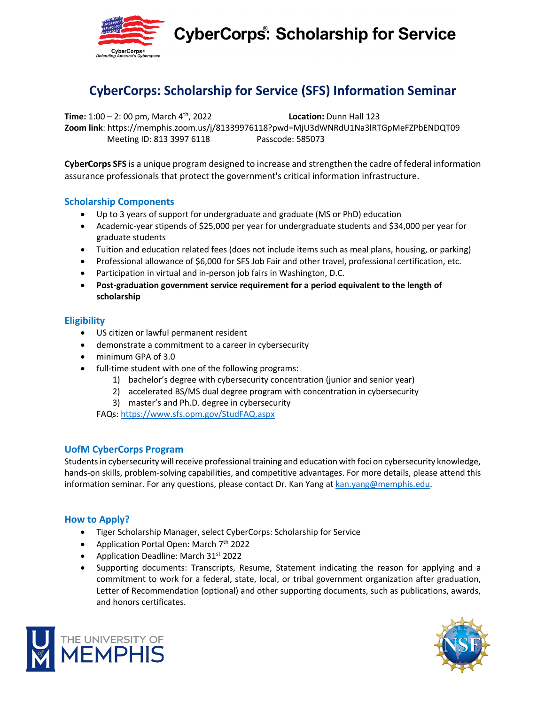

**CyberCorps: Scholarship for Service** 

## **CyberCorps: Scholarship for Service (SFS) Information Seminar**

**Time:** 1:00 – 2: 00 pm, March 4th, 2022 **Location:** Dunn Hall 123 **Zoom link**: https://memphis.zoom.us/j/81339976118?pwd=MjU3dWNRdU1Na3lRTGpMeFZPbENDQT09 Meeting ID: 813 3997 6118 Passcode: 585073

**CyberCorps SFS** is a unique program designed to increase and strengthen the cadre of federal information assurance professionals that protect the government's critical information infrastructure.

#### **Scholarship Components**

- Up to 3 years of support for undergraduate and graduate (MS or PhD) education
- Academic-year stipends of \$25,000 per year for undergraduate students and \$34,000 per year for graduate students
- Tuition and education related fees (does not include items such as meal plans, housing, or parking)
- Professional allowance of \$6,000 for SFS Job Fair and other travel, professional certification, etc.
- Participation in virtual and in-person job fairs in Washington, D.C.
- **Post-graduation government service requirement for a period equivalent to the length of scholarship**

#### **Eligibility**

- US citizen or lawful permanent resident
- demonstrate a commitment to a career in cybersecurity
- minimum GPA of 3.0
- full-time student with one of the following programs:
	- 1) bachelor's degree with cybersecurity concentration (junior and senior year)
	- 2) accelerated BS/MS dual degree program with concentration in cybersecurity
	- 3) master's and Ph.D. degree in cybersecurity

FAQs: https://www.sfs.opm.gov/StudFAQ.aspx

### **UofM CyberCorps Program**

Students in cybersecurity will receive professional training and education with foci on cybersecurity knowledge, hands-on skills, problem-solving capabilities, and competitive advantages. For more details, please attend this information seminar. For any questions, please contact Dr. Kan Yang at kan.yang@memphis.edu.

### **How to Apply?**

- Tiger Scholarship Manager, select CyberCorps: Scholarship for Service
- Application Portal Open: March  $7<sup>th</sup>$  2022
- Application Deadline: March 31<sup>st</sup> 2022
- Supporting documents: Transcripts, Resume, Statement indicating the reason for applying and a commitment to work for a federal, state, local, or tribal government organization after graduation, Letter of Recommendation (optional) and other supporting documents, such as publications, awards, and honors certificates.